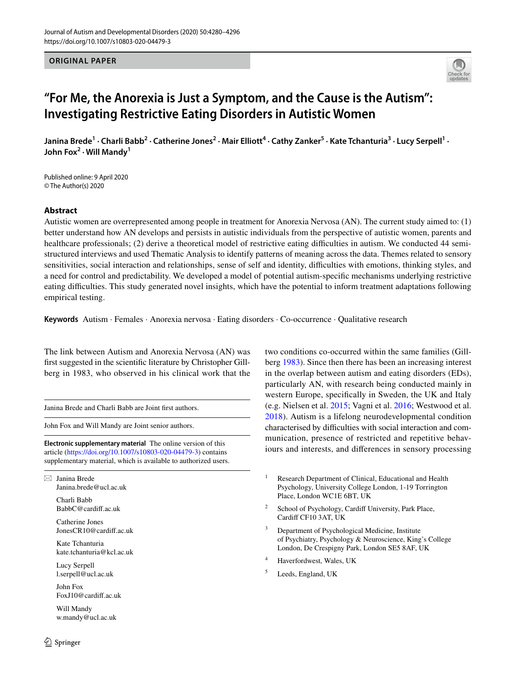### **ORIGINAL PAPER**



# **"For Me, the Anorexia is Just a Symptom, and the Cause is the Autism": Investigating Restrictive Eating Disorders in Autistic Women**

Janina Brede<sup>1</sup> • Charli Babb<sup>2</sup> • Catherine Jones<sup>2</sup> • Mair Elliott<sup>4</sup> • Cathy Zanker<sup>5</sup> • Kate Tchanturia<sup>3</sup> • Lucy Serpell<sup>1</sup> • **John Fox<sup>2</sup> · Will Mandy1**

Published online: 9 April 2020 © The Author(s) 2020

# **Abstract**

Autistic women are overrepresented among people in treatment for Anorexia Nervosa (AN). The current study aimed to: (1) better understand how AN develops and persists in autistic individuals from the perspective of autistic women, parents and healthcare professionals; (2) derive a theoretical model of restrictive eating difficulties in autism. We conducted 44 semistructured interviews and used Thematic Analysis to identify patterns of meaning across the data. Themes related to sensory sensitivities, social interaction and relationships, sense of self and identity, difficulties with emotions, thinking styles, and a need for control and predictability. We developed a model of potential autism-specifc mechanisms underlying restrictive eating difficulties. This study generated novel insights, which have the potential to inform treatment adaptations following empirical testing.

**Keywords** Autism · Females · Anorexia nervosa · Eating disorders · Co-occurrence · Qualitative research

The link between Autism and Anorexia Nervosa (AN) was frst suggested in the scientifc literature by Christopher Gillberg in 1983, who observed in his clinical work that the

Janina Brede and Charli Babb are Joint frst authors.

John Fox and Will Mandy are Joint senior authors.

**Electronic supplementary material** The online version of this article [\(https://doi.org/10.1007/s10803-020-04479-3\)](https://doi.org/10.1007/s10803-020-04479-3) contains supplementary material, which is available to authorized users.

 $\boxtimes$  Janina Brede Janina.brede@ucl.ac.uk

Charli Babb BabbC@cardif.ac.uk

Catherine Jones JonesCR10@cardif.ac.uk

Kate Tchanturia kate.tchanturia@kcl.ac.uk

Lucy Serpell l.serpell@ucl.ac.uk

John Fox FoxJ10@cardif.ac.uk

Will Mandy w.mandy@ucl.ac.uk two conditions co-occurred within the same families (Gillberg [1983](#page-14-0)). Since then there has been an increasing interest in the overlap between autism and eating disorders (EDs), particularly AN, with research being conducted mainly in western Europe, specifcally in Sweden, the UK and Italy (e.g. Nielsen et al. [2015;](#page-15-0) Vagni et al. [2016](#page-16-0); Westwood et al. [2018\)](#page-16-1). Autism is a lifelong neurodevelopmental condition characterised by difficulties with social interaction and communication, presence of restricted and repetitive behaviours and interests, and diferences in sensory processing

- <sup>1</sup> Research Department of Clinical, Educational and Health Psychology, University College London, 1-19 Torrington Place, London WC1E 6BT, UK
- <sup>2</sup> School of Psychology, Cardiff University, Park Place, Cardif CF10 3AT, UK
- Department of Psychological Medicine, Institute of Psychiatry, Psychology & Neuroscience, King's College London, De Crespigny Park, London SE5 8AF, UK
- <sup>4</sup> Haverfordwest, Wales, UK
- <sup>5</sup> Leeds, England, UK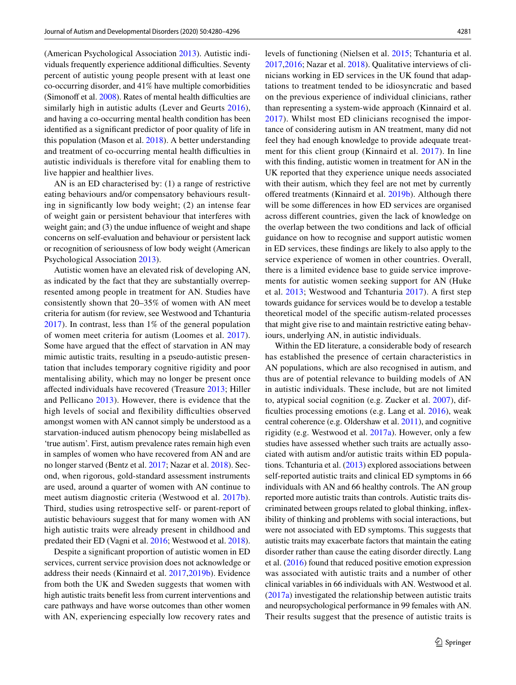(American Psychological Association [2013\)](#page-14-1). Autistic individuals frequently experience additional difficulties. Seventy percent of autistic young people present with at least one co-occurring disorder, and 41% have multiple comorbidities (Simonoff et al.  $2008$ ). Rates of mental health difficulties are similarly high in autistic adults (Lever and Geurts [2016](#page-15-2)), and having a co-occurring mental health condition has been identifed as a signifcant predictor of poor quality of life in this population (Mason et al. [2018\)](#page-15-3). A better understanding and treatment of co-occurring mental health difficulties in autistic individuals is therefore vital for enabling them to live happier and healthier lives.

AN is an ED characterised by: (1) a range of restrictive eating behaviours and/or compensatory behaviours resulting in signifcantly low body weight; (2) an intense fear of weight gain or persistent behaviour that interferes with weight gain; and (3) the undue influence of weight and shape concerns on self-evaluation and behaviour or persistent lack or recognition of seriousness of low body weight (American Psychological Association [2013](#page-14-1)).

Autistic women have an elevated risk of developing AN, as indicated by the fact that they are substantially overrepresented among people in treatment for AN. Studies have consistently shown that 20–35% of women with AN meet criteria for autism (for review, see Westwood and Tchanturia [2017\)](#page-16-2). In contrast, less than 1% of the general population of women meet criteria for autism (Loomes et al. [2017](#page-15-4)). Some have argued that the effect of starvation in AN may mimic autistic traits, resulting in a pseudo-autistic presentation that includes temporary cognitive rigidity and poor mentalising ability, which may no longer be present once afected individuals have recovered (Treasure [2013;](#page-15-5) Hiller and Pellicano [2013\)](#page-14-2). However, there is evidence that the high levels of social and flexibility difficulties observed amongst women with AN cannot simply be understood as a starvation-induced autism phenocopy being mislabelled as 'true autism'. First, autism prevalence rates remain high even in samples of women who have recovered from AN and are no longer starved (Bentz et al. [2017;](#page-14-3) Nazar et al. [2018](#page-15-6)). Second, when rigorous, gold-standard assessment instruments are used, around a quarter of women with AN continue to meet autism diagnostic criteria (Westwood et al. [2017b](#page-16-3)). Third, studies using retrospective self- or parent-report of autistic behaviours suggest that for many women with AN high autistic traits were already present in childhood and predated their ED (Vagni et al. [2016](#page-16-0); Westwood et al. [2018](#page-16-1)).

Despite a signifcant proportion of autistic women in ED services, current service provision does not acknowledge or address their needs (Kinnaird et al. [2017](#page-14-4),[2019b](#page-14-5)). Evidence from both the UK and Sweden suggests that women with high autistic traits beneft less from current interventions and care pathways and have worse outcomes than other women with AN, experiencing especially low recovery rates and levels of functioning (Nielsen et al. [2015;](#page-15-0) Tchanturia et al. [2017](#page-15-7),[2016;](#page-15-8) Nazar et al. [2018](#page-15-6)). Qualitative interviews of clinicians working in ED services in the UK found that adaptations to treatment tended to be idiosyncratic and based on the previous experience of individual clinicians, rather than representing a system-wide approach (Kinnaird et al. [2017\)](#page-14-4). Whilst most ED clinicians recognised the importance of considering autism in AN treatment, many did not feel they had enough knowledge to provide adequate treatment for this client group (Kinnaird et al. [2017](#page-14-4)). In line with this finding, autistic women in treatment for AN in the UK reported that they experience unique needs associated with their autism, which they feel are not met by currently offered treatments (Kinnaird et al. [2019b\)](#page-14-5). Although there will be some diferences in how ED services are organised across diferent countries, given the lack of knowledge on the overlap between the two conditions and lack of official guidance on how to recognise and support autistic women in ED services, these fndings are likely to also apply to the service experience of women in other countries. Overall, there is a limited evidence base to guide service improvements for autistic women seeking support for AN (Huke et al. [2013;](#page-14-6) Westwood and Tchanturia [2017\)](#page-16-2). A frst step towards guidance for services would be to develop a testable theoretical model of the specifc autism-related processes that might give rise to and maintain restrictive eating behaviours, underlying AN, in autistic individuals.

Within the ED literature, a considerable body of research has established the presence of certain characteristics in AN populations, which are also recognised in autism, and thus are of potential relevance to building models of AN in autistic individuals. These include, but are not limited to, atypical social cognition (e.g. Zucker et al. [2007](#page-16-4)), dif-ficulties processing emotions (e.g. Lang et al. [2016](#page-15-9)), weak central coherence (e.g. Oldershaw et al. [2011](#page-15-10)), and cognitive rigidity (e.g. Westwood et al. [2017a](#page-16-5)). However, only a few studies have assessed whether such traits are actually associated with autism and/or autistic traits within ED populations. Tchanturia et al. [\(2013](#page-15-11)) explored associations between self-reported autistic traits and clinical ED symptoms in 66 individuals with AN and 66 healthy controls. The AN group reported more autistic traits than controls. Autistic traits discriminated between groups related to global thinking, infexibility of thinking and problems with social interactions, but were not associated with ED symptoms. This suggests that autistic traits may exacerbate factors that maintain the eating disorder rather than cause the eating disorder directly. Lang et al. ([2016\)](#page-15-9) found that reduced positive emotion expression was associated with autistic traits and a number of other clinical variables in 66 individuals with AN. Westwood et al. ([2017a](#page-16-5)) investigated the relationship between autistic traits and neuropsychological performance in 99 females with AN. Their results suggest that the presence of autistic traits is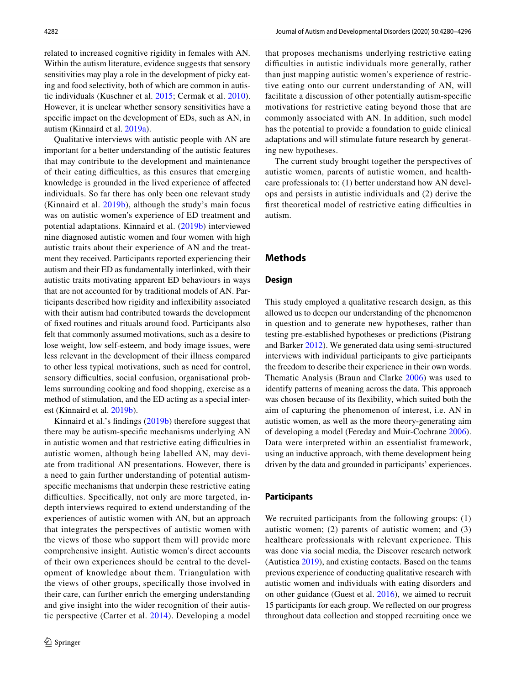related to increased cognitive rigidity in females with AN. Within the autism literature, evidence suggests that sensory sensitivities may play a role in the development of picky eating and food selectivity, both of which are common in autistic individuals (Kuschner et al. [2015;](#page-14-7) Cermak et al. [2010](#page-14-8)). However, it is unclear whether sensory sensitivities have a specifc impact on the development of EDs, such as AN, in autism (Kinnaird et al. [2019a\)](#page-14-9).

Qualitative interviews with autistic people with AN are important for a better understanding of the autistic features that may contribute to the development and maintenance of their eating difficulties, as this ensures that emerging knowledge is grounded in the lived experience of afected individuals. So far there has only been one relevant study (Kinnaird et al. [2019b\)](#page-14-5), although the study's main focus was on autistic women's experience of ED treatment and potential adaptations. Kinnaird et al. ([2019b](#page-14-5)) interviewed nine diagnosed autistic women and four women with high autistic traits about their experience of AN and the treatment they received. Participants reported experiencing their autism and their ED as fundamentally interlinked, with their autistic traits motivating apparent ED behaviours in ways that are not accounted for by traditional models of AN. Participants described how rigidity and infexibility associated with their autism had contributed towards the development of fxed routines and rituals around food. Participants also felt that commonly assumed motivations, such as a desire to lose weight, low self-esteem, and body image issues, were less relevant in the development of their illness compared to other less typical motivations, such as need for control, sensory difficulties, social confusion, organisational problems surrounding cooking and food shopping, exercise as a method of stimulation, and the ED acting as a special interest (Kinnaird et al. [2019b\)](#page-14-5).

Kinnaird et al.'s fndings [\(2019b](#page-14-5)) therefore suggest that there may be autism-specifc mechanisms underlying AN in autistic women and that restrictive eating difficulties in autistic women, although being labelled AN, may deviate from traditional AN presentations. However, there is a need to gain further understanding of potential autismspecifc mechanisms that underpin these restrictive eating difficulties. Specifically, not only are more targeted, indepth interviews required to extend understanding of the experiences of autistic women with AN, but an approach that integrates the perspectives of autistic women with the views of those who support them will provide more comprehensive insight. Autistic women's direct accounts of their own experiences should be central to the development of knowledge about them. Triangulation with the views of other groups, specifcally those involved in their care, can further enrich the emerging understanding and give insight into the wider recognition of their autistic perspective (Carter et al. [2014](#page-14-10)). Developing a model that proposes mechanisms underlying restrictive eating difficulties in autistic individuals more generally, rather than just mapping autistic women's experience of restrictive eating onto our current understanding of AN, will facilitate a discussion of other potentially autism-specifc motivations for restrictive eating beyond those that are commonly associated with AN. In addition, such model has the potential to provide a foundation to guide clinical adaptations and will stimulate future research by generating new hypotheses.

The current study brought together the perspectives of autistic women, parents of autistic women, and healthcare professionals to: (1) better understand how AN develops and persists in autistic individuals and (2) derive the first theoretical model of restrictive eating difficulties in autism.

### **Methods**

### **Design**

This study employed a qualitative research design, as this allowed us to deepen our understanding of the phenomenon in question and to generate new hypotheses, rather than testing pre-established hypotheses or predictions (Pistrang and Barker [2012\)](#page-15-12). We generated data using semi-structured interviews with individual participants to give participants the freedom to describe their experience in their own words. Thematic Analysis (Braun and Clarke [2006\)](#page-14-11) was used to identify patterns of meaning across the data. This approach was chosen because of its fexibility, which suited both the aim of capturing the phenomenon of interest, i.e. AN in autistic women, as well as the more theory-generating aim of developing a model (Fereday and Muir-Cochrane [2006](#page-14-12)). Data were interpreted within an essentialist framework, using an inductive approach, with theme development being driven by the data and grounded in participants' experiences.

### **Participants**

We recruited participants from the following groups: (1) autistic women; (2) parents of autistic women; and (3) healthcare professionals with relevant experience. This was done via social media, the Discover research network (Autistica [2019](#page-14-13)), and existing contacts. Based on the teams previous experience of conducting qualitative research with autistic women and individuals with eating disorders and on other guidance (Guest et al. [2016\)](#page-14-14), we aimed to recruit 15 participants for each group. We refected on our progress throughout data collection and stopped recruiting once we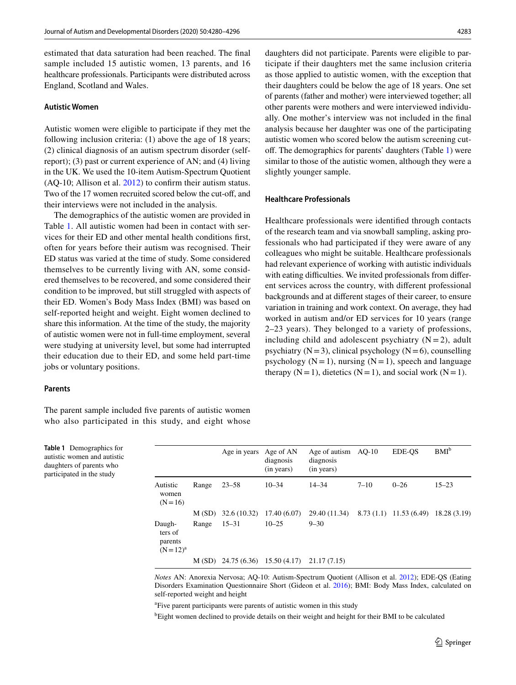estimated that data saturation had been reached. The fnal sample included 15 autistic women, 13 parents, and 16 healthcare professionals. Participants were distributed across England, Scotland and Wales.

#### **Autistic Women**

Autistic women were eligible to participate if they met the following inclusion criteria: (1) above the age of 18 years; (2) clinical diagnosis of an autism spectrum disorder (selfreport); (3) past or current experience of AN; and (4) living in the UK. We used the 10-item Autism-Spectrum Quotient (AQ-10; Allison et al. [2012](#page-14-15)) to confrm their autism status. Two of the 17 women recruited scored below the cut-off, and their interviews were not included in the analysis.

The demographics of the autistic women are provided in Table [1](#page-3-0). All autistic women had been in contact with services for their ED and other mental health conditions frst, often for years before their autism was recognised. Their ED status was varied at the time of study. Some considered themselves to be currently living with AN, some considered themselves to be recovered, and some considered their condition to be improved, but still struggled with aspects of their ED. Women's Body Mass Index (BMI) was based on self-reported height and weight. Eight women declined to share this information. At the time of the study, the majority of autistic women were not in full-time employment, several were studying at university level, but some had interrupted their education due to their ED, and some held part-time jobs or voluntary positions.

#### **Parents**

The parent sample included fve parents of autistic women who also participated in this study, and eight whose

daughters did not participate. Parents were eligible to participate if their daughters met the same inclusion criteria as those applied to autistic women, with the exception that their daughters could be below the age of 18 years. One set of parents (father and mother) were interviewed together; all other parents were mothers and were interviewed individually. One mother's interview was not included in the fnal analysis because her daughter was one of the participating autistic women who scored below the autism screening cutof. The demographics for parents' daughters (Table [1](#page-3-0)) were similar to those of the autistic women, although they were a slightly younger sample.

#### **Healthcare Professionals**

Healthcare professionals were identifed through contacts of the research team and via snowball sampling, asking professionals who had participated if they were aware of any colleagues who might be suitable. Healthcare professionals had relevant experience of working with autistic individuals with eating difficulties. We invited professionals from different services across the country, with diferent professional backgrounds and at diferent stages of their career, to ensure variation in training and work context. On average, they had worked in autism and/or ED services for 10 years (range 2–23 years). They belonged to a variety of professions, including child and adolescent psychiatry  $(N = 2)$ , adult psychiatry  $(N=3)$ , clinical psychology  $(N=6)$ , counselling psychology  $(N = 1)$ , nursing  $(N = 1)$ , speech and language therapy  $(N=1)$ , dietetics  $(N=1)$ , and social work  $(N=1)$ .

<span id="page-3-0"></span>

|                          | Table 1 Demographics for    |  |  |
|--------------------------|-----------------------------|--|--|
|                          | autistic women and autistic |  |  |
| daughters of parents who |                             |  |  |
|                          | participated in the study   |  |  |

|                                              |       | Age in years Age of AN | diagnosis<br>(in years) | Age of autism<br>diagnosis<br>(in years) | AO-10    | EDE-OS                   | $BMI^b$      |
|----------------------------------------------|-------|------------------------|-------------------------|------------------------------------------|----------|--------------------------|--------------|
| Autistic<br>women<br>$(N=16)$                | Range | $23 - 58$              | $10 - 34$               | $14 - 34$                                | $7 - 10$ | $0 - 26$                 | $15 - 23$    |
|                                              | M(SD) | 32.6(10.32)            | 17.40(6.07)             | 29.40 (11.34)                            |          | $8.73(1.1)$ 11.53 (6.49) | 18.28 (3.19) |
| Daugh-<br>ters of<br>parents<br>$(N=12)^{a}$ | Range | $15 - 31$              | $10 - 25$               | $9 - 30$                                 |          |                          |              |
|                                              |       | $M(SD)$ 24.75 (6.36)   | 15.50(4.17)             | 21.17 (7.15)                             |          |                          |              |

*Notes* AN: Anorexia Nervosa; AQ-10: Autism-Spectrum Quotient (Allison et al. [2012](#page-14-15)); EDE-QS (Eating Disorders Examination Questionnaire Short (Gideon et al. [2016\)](#page-14-16); BMI: Body Mass Index, calculated on self-reported weight and height

<sup>a</sup>Five parent participants were parents of autistic women in this study

<sup>b</sup>Eight women declined to provide details on their weight and height for their BMI to be calculated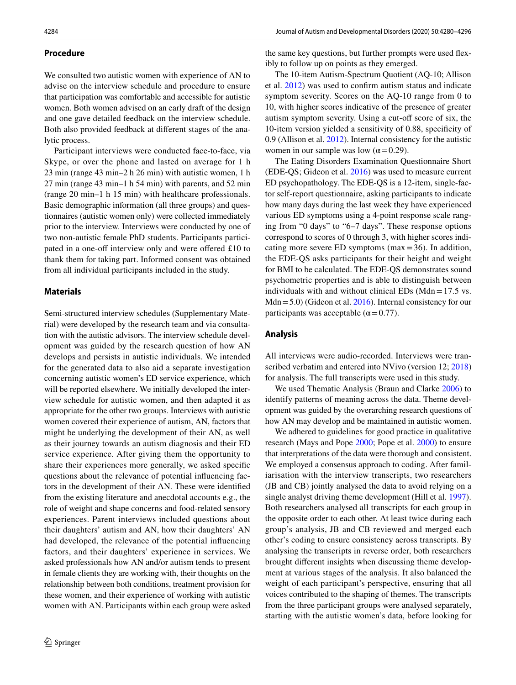# **Procedure**

We consulted two autistic women with experience of AN to advise on the interview schedule and procedure to ensure that participation was comfortable and accessible for autistic women. Both women advised on an early draft of the design and one gave detailed feedback on the interview schedule. Both also provided feedback at diferent stages of the analytic process.

Participant interviews were conducted face-to-face, via Skype, or over the phone and lasted on average for 1 h 23 min (range 43 min–2 h 26 min) with autistic women, 1 h 27 min (range 43 min–1 h 54 min) with parents, and 52 min (range 20 min–1 h 15 min) with healthcare professionals. Basic demographic information (all three groups) and questionnaires (autistic women only) were collected immediately prior to the interview. Interviews were conducted by one of two non-autistic female PhD students. Participants participated in a one-off interview only and were offered  $£10$  to thank them for taking part. Informed consent was obtained from all individual participants included in the study.

### **Materials**

Semi-structured interview schedules (Supplementary Material) were developed by the research team and via consultation with the autistic advisors. The interview schedule development was guided by the research question of how AN develops and persists in autistic individuals. We intended for the generated data to also aid a separate investigation concerning autistic women's ED service experience, which will be reported elsewhere. We initially developed the interview schedule for autistic women, and then adapted it as appropriate for the other two groups. Interviews with autistic women covered their experience of autism, AN, factors that might be underlying the development of their AN, as well as their journey towards an autism diagnosis and their ED service experience. After giving them the opportunity to share their experiences more generally, we asked specifc questions about the relevance of potential infuencing factors in the development of their AN. These were identifed from the existing literature and anecdotal accounts e.g., the role of weight and shape concerns and food-related sensory experiences. Parent interviews included questions about their daughters' autism and AN, how their daughters' AN had developed, the relevance of the potential infuencing factors, and their daughters' experience in services. We asked professionals how AN and/or autism tends to present in female clients they are working with, their thoughts on the relationship between both conditions, treatment provision for these women, and their experience of working with autistic women with AN. Participants within each group were asked the same key questions, but further prompts were used fexibly to follow up on points as they emerged.

The 10-item Autism-Spectrum Quotient (AQ-10; Allison et al. [2012\)](#page-14-15) was used to confrm autism status and indicate symptom severity. Scores on the AQ-10 range from 0 to 10, with higher scores indicative of the presence of greater autism symptom severity. Using a cut-off score of six, the 10-item version yielded a sensitivity of 0.88, specifcity of 0.9 (Allison et al. [2012](#page-14-15)). Internal consistency for the autistic women in our sample was low ( $\alpha$  = 0.29).

The Eating Disorders Examination Questionnaire Short (EDE-QS; Gideon et al. [2016\)](#page-14-16) was used to measure current ED psychopathology. The EDE-QS is a 12-item, single-factor self-report questionnaire, asking participants to indicate how many days during the last week they have experienced various ED symptoms using a 4-point response scale ranging from "0 days" to "6–7 days". These response options correspond to scores of 0 through 3, with higher scores indicating more severe ED symptoms (max =  $36$ ). In addition, the EDE-QS asks participants for their height and weight for BMI to be calculated. The EDE-QS demonstrates sound psychometric properties and is able to distinguish between individuals with and without clinical EDs (Mdn =  $17.5$  vs. Mdn=5.0) (Gideon et al. [2016\)](#page-14-16). Internal consistency for our participants was acceptable ( $\alpha$  = 0.77).

### **Analysis**

All interviews were audio-recorded. Interviews were tran-scribed verbatim and entered into NVivo (version 12; [2018](#page-15-13)) for analysis. The full transcripts were used in this study.

We used Thematic Analysis (Braun and Clarke [2006](#page-14-11)) to identify patterns of meaning across the data. Theme development was guided by the overarching research questions of how AN may develop and be maintained in autistic women.

We adhered to guidelines for good practice in qualitative research (Mays and Pope [2000;](#page-15-14) Pope et al. [2000](#page-15-15)) to ensure that interpretations of the data were thorough and consistent. We employed a consensus approach to coding. After familiarisation with the interview transcripts, two researchers (JB and CB) jointly analysed the data to avoid relying on a single analyst driving theme development (Hill et al. [1997](#page-14-17)). Both researchers analysed all transcripts for each group in the opposite order to each other. At least twice during each group's analysis, JB and CB reviewed and merged each other's coding to ensure consistency across transcripts. By analysing the transcripts in reverse order, both researchers brought diferent insights when discussing theme development at various stages of the analysis. It also balanced the weight of each participant's perspective, ensuring that all voices contributed to the shaping of themes. The transcripts from the three participant groups were analysed separately, starting with the autistic women's data, before looking for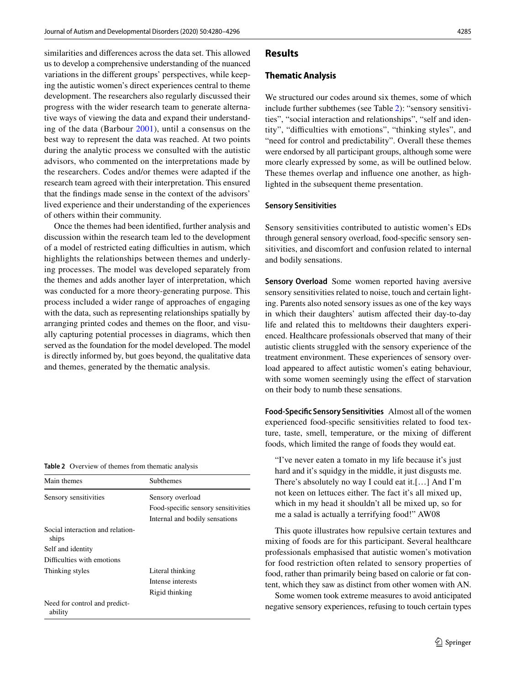similarities and diferences across the data set. This allowed us to develop a comprehensive understanding of the nuanced variations in the diferent groups' perspectives, while keeping the autistic women's direct experiences central to theme development. The researchers also regularly discussed their progress with the wider research team to generate alternative ways of viewing the data and expand their understanding of the data (Barbour [2001\)](#page-14-18), until a consensus on the best way to represent the data was reached. At two points during the analytic process we consulted with the autistic advisors, who commented on the interpretations made by the researchers. Codes and/or themes were adapted if the research team agreed with their interpretation. This ensured that the fndings made sense in the context of the advisors' lived experience and their understanding of the experiences of others within their community.

Once the themes had been identifed, further analysis and discussion within the research team led to the development of a model of restricted eating difficulties in autism, which highlights the relationships between themes and underlying processes. The model was developed separately from the themes and adds another layer of interpretation, which was conducted for a more theory-generating purpose. This process included a wider range of approaches of engaging with the data, such as representing relationships spatially by arranging printed codes and themes on the foor, and visually capturing potential processes in diagrams, which then served as the foundation for the model developed. The model is directly informed by, but goes beyond, the qualitative data and themes, generated by the thematic analysis.

<span id="page-5-0"></span>

| Table 2 Overview of themes from thematic analysis |  |  |  |
|---------------------------------------------------|--|--|--|
|---------------------------------------------------|--|--|--|

| Main themes                               | <b>Subthemes</b>                    |  |  |  |
|-------------------------------------------|-------------------------------------|--|--|--|
| Sensory sensitivities                     | Sensory overload                    |  |  |  |
|                                           | Food-specific sensory sensitivities |  |  |  |
|                                           | Internal and bodily sensations      |  |  |  |
| Social interaction and relation-<br>ships |                                     |  |  |  |
| Self and identity                         |                                     |  |  |  |
| Difficulties with emotions                |                                     |  |  |  |
| Thinking styles                           | Literal thinking                    |  |  |  |
|                                           | Intense interests                   |  |  |  |
|                                           | Rigid thinking                      |  |  |  |
| Need for control and predict-<br>ability  |                                     |  |  |  |

### **Results**

### **Thematic Analysis**

We structured our codes around six themes, some of which include further subthemes (see Table [2](#page-5-0)): "sensory sensitivities", "social interaction and relationships", "self and identity", "difficulties with emotions", "thinking styles", and "need for control and predictability". Overall these themes were endorsed by all participant groups, although some were more clearly expressed by some, as will be outlined below. These themes overlap and infuence one another, as highlighted in the subsequent theme presentation.

#### **Sensory Sensitivities**

Sensory sensitivities contributed to autistic women's EDs through general sensory overload, food-specifc sensory sensitivities, and discomfort and confusion related to internal and bodily sensations.

**Sensory Overload** Some women reported having aversive sensory sensitivities related to noise, touch and certain lighting. Parents also noted sensory issues as one of the key ways in which their daughters' autism afected their day-to-day life and related this to meltdowns their daughters experienced. Healthcare professionals observed that many of their autistic clients struggled with the sensory experience of the treatment environment. These experiences of sensory overload appeared to affect autistic women's eating behaviour, with some women seemingly using the effect of starvation on their body to numb these sensations.

**Food‑Specifc Sensory Sensitivities** Almost all of the women experienced food-specifc sensitivities related to food texture, taste, smell, temperature, or the mixing of diferent foods, which limited the range of foods they would eat.

"I've never eaten a tomato in my life because it's just hard and it's squidgy in the middle, it just disgusts me. There's absolutely no way I could eat it.[…] And I'm not keen on lettuces either. The fact it's all mixed up, which in my head it shouldn't all be mixed up, so for me a salad is actually a terrifying food!" AW08

This quote illustrates how repulsive certain textures and mixing of foods are for this participant. Several healthcare professionals emphasised that autistic women's motivation for food restriction often related to sensory properties of food, rather than primarily being based on calorie or fat content, which they saw as distinct from other women with AN.

Some women took extreme measures to avoid anticipated negative sensory experiences, refusing to touch certain types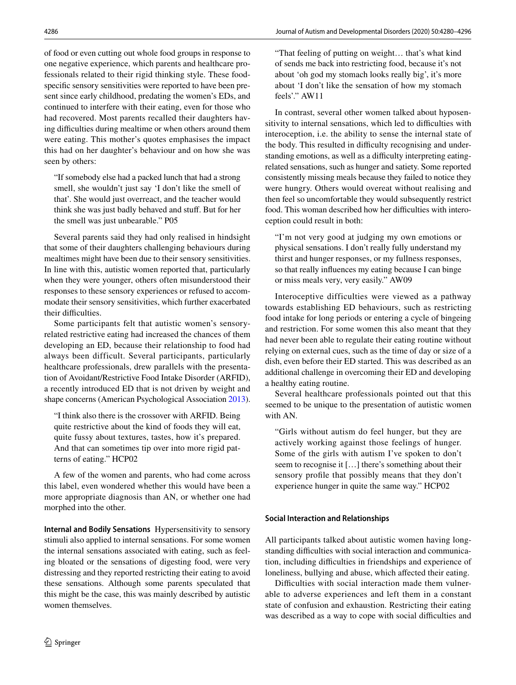of food or even cutting out whole food groups in response to one negative experience, which parents and healthcare professionals related to their rigid thinking style. These foodspecifc sensory sensitivities were reported to have been present since early childhood, predating the women's EDs, and continued to interfere with their eating, even for those who had recovered. Most parents recalled their daughters having difficulties during mealtime or when others around them were eating. This mother's quotes emphasises the impact this had on her daughter's behaviour and on how she was seen by others:

"If somebody else had a packed lunch that had a strong smell, she wouldn't just say 'I don't like the smell of that'. She would just overreact, and the teacher would think she was just badly behaved and stuf. But for her the smell was just unbearable." P05

Several parents said they had only realised in hindsight that some of their daughters challenging behaviours during mealtimes might have been due to their sensory sensitivities. In line with this, autistic women reported that, particularly when they were younger, others often misunderstood their responses to these sensory experiences or refused to accommodate their sensory sensitivities, which further exacerbated their difficulties.

Some participants felt that autistic women's sensoryrelated restrictive eating had increased the chances of them developing an ED, because their relationship to food had always been difficult. Several participants, particularly healthcare professionals, drew parallels with the presentation of Avoidant/Restrictive Food Intake Disorder (ARFID), a recently introduced ED that is not driven by weight and shape concerns (American Psychological Association [2013](#page-14-1)).

"I think also there is the crossover with ARFID. Being quite restrictive about the kind of foods they will eat, quite fussy about textures, tastes, how it's prepared. And that can sometimes tip over into more rigid patterns of eating." HCP02

A few of the women and parents, who had come across this label, even wondered whether this would have been a more appropriate diagnosis than AN, or whether one had morphed into the other.

**Internal and Bodily Sensations** Hypersensitivity to sensory stimuli also applied to internal sensations. For some women the internal sensations associated with eating, such as feeling bloated or the sensations of digesting food, were very distressing and they reported restricting their eating to avoid these sensations. Although some parents speculated that this might be the case, this was mainly described by autistic women themselves.

"That feeling of putting on weight… that's what kind of sends me back into restricting food, because it's not about 'oh god my stomach looks really big', it's more about 'I don't like the sensation of how my stomach feels'." AW11

In contrast, several other women talked about hyposensitivity to internal sensations, which led to difficulties with interoception, i.e. the ability to sense the internal state of the body. This resulted in difficulty recognising and understanding emotions, as well as a difficulty interpreting eatingrelated sensations, such as hunger and satiety. Some reported consistently missing meals because they failed to notice they were hungry. Others would overeat without realising and then feel so uncomfortable they would subsequently restrict food. This woman described how her difficulties with interoception could result in both:

"I'm not very good at judging my own emotions or physical sensations. I don't really fully understand my thirst and hunger responses, or my fullness responses, so that really infuences my eating because I can binge or miss meals very, very easily." AW09

Interoceptive difficulties were viewed as a pathway towards establishing ED behaviours, such as restricting food intake for long periods or entering a cycle of bingeing and restriction. For some women this also meant that they had never been able to regulate their eating routine without relying on external cues, such as the time of day or size of a dish, even before their ED started. This was described as an additional challenge in overcoming their ED and developing a healthy eating routine.

Several healthcare professionals pointed out that this seemed to be unique to the presentation of autistic women with AN.

"Girls without autism do feel hunger, but they are actively working against those feelings of hunger. Some of the girls with autism I've spoken to don't seem to recognise it […] there's something about their sensory profle that possibly means that they don't experience hunger in quite the same way." HCP02

# **Social Interaction and Relationships**

All participants talked about autistic women having longstanding difficulties with social interaction and communication, including difficulties in friendships and experience of loneliness, bullying and abuse, which affected their eating.

Difficulties with social interaction made them vulnerable to adverse experiences and left them in a constant state of confusion and exhaustion. Restricting their eating was described as a way to cope with social difficulties and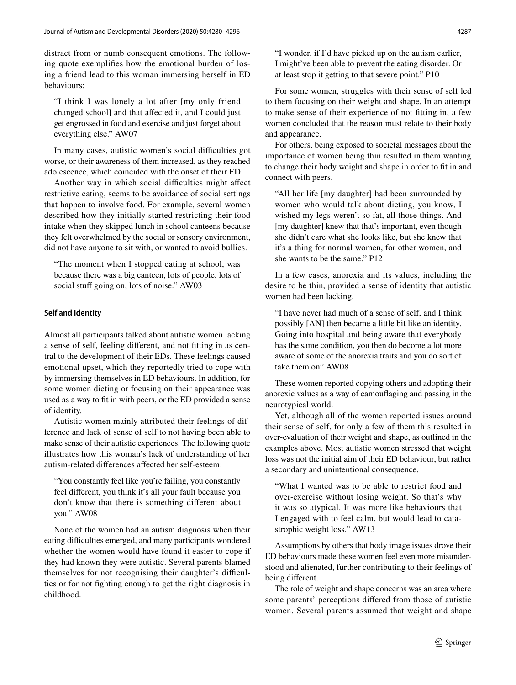distract from or numb consequent emotions. The following quote exemplifes how the emotional burden of losing a friend lead to this woman immersing herself in ED behaviours:

"I think I was lonely a lot after [my only friend changed school] and that afected it, and I could just get engrossed in food and exercise and just forget about everything else." AW07

In many cases, autistic women's social difficulties got worse, or their awareness of them increased, as they reached adolescence, which coincided with the onset of their ED.

Another way in which social difficulties might affect restrictive eating, seems to be avoidance of social settings that happen to involve food. For example, several women described how they initially started restricting their food intake when they skipped lunch in school canteens because they felt overwhelmed by the social or sensory environment, did not have anyone to sit with, or wanted to avoid bullies.

"The moment when I stopped eating at school, was because there was a big canteen, lots of people, lots of social stuff going on, lots of noise." AW03

### **Self and Identity**

Almost all participants talked about autistic women lacking a sense of self, feeling diferent, and not ftting in as central to the development of their EDs. These feelings caused emotional upset, which they reportedly tried to cope with by immersing themselves in ED behaviours. In addition, for some women dieting or focusing on their appearance was used as a way to ft in with peers, or the ED provided a sense of identity.

Autistic women mainly attributed their feelings of difference and lack of sense of self to not having been able to make sense of their autistic experiences. The following quote illustrates how this woman's lack of understanding of her autism-related diferences afected her self-esteem:

"You constantly feel like you're failing, you constantly feel diferent, you think it's all your fault because you don't know that there is something diferent about you." AW08

None of the women had an autism diagnosis when their eating difficulties emerged, and many participants wondered whether the women would have found it easier to cope if they had known they were autistic. Several parents blamed themselves for not recognising their daughter's difficulties or for not fghting enough to get the right diagnosis in childhood.

"I wonder, if I'd have picked up on the autism earlier, I might've been able to prevent the eating disorder. Or at least stop it getting to that severe point." P10

For some women, struggles with their sense of self led to them focusing on their weight and shape. In an attempt to make sense of their experience of not ftting in, a few women concluded that the reason must relate to their body and appearance.

For others, being exposed to societal messages about the importance of women being thin resulted in them wanting to change their body weight and shape in order to ft in and connect with peers.

"All her life [my daughter] had been surrounded by women who would talk about dieting, you know, I wished my legs weren't so fat, all those things. And [my daughter] knew that that's important, even though she didn't care what she looks like, but she knew that it's a thing for normal women, for other women, and she wants to be the same." P12

In a few cases, anorexia and its values, including the desire to be thin, provided a sense of identity that autistic women had been lacking.

"I have never had much of a sense of self, and I think possibly [AN] then became a little bit like an identity. Going into hospital and being aware that everybody has the same condition, you then do become a lot more aware of some of the anorexia traits and you do sort of take them on" AW08

These women reported copying others and adopting their anorexic values as a way of camoufaging and passing in the neurotypical world.

Yet, although all of the women reported issues around their sense of self, for only a few of them this resulted in over-evaluation of their weight and shape, as outlined in the examples above. Most autistic women stressed that weight loss was not the initial aim of their ED behaviour, but rather a secondary and unintentional consequence.

"What I wanted was to be able to restrict food and over-exercise without losing weight. So that's why it was so atypical. It was more like behaviours that I engaged with to feel calm, but would lead to catastrophic weight loss." AW13

Assumptions by others that body image issues drove their ED behaviours made these women feel even more misunderstood and alienated, further contributing to their feelings of being diferent.

The role of weight and shape concerns was an area where some parents' perceptions difered from those of autistic women. Several parents assumed that weight and shape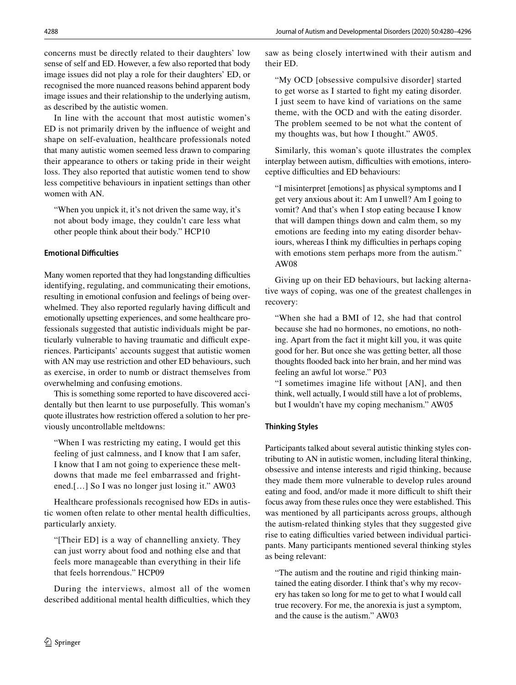concerns must be directly related to their daughters' low sense of self and ED. However, a few also reported that body image issues did not play a role for their daughters' ED, or recognised the more nuanced reasons behind apparent body image issues and their relationship to the underlying autism, as described by the autistic women.

In line with the account that most autistic women's ED is not primarily driven by the infuence of weight and shape on self-evaluation, healthcare professionals noted that many autistic women seemed less drawn to comparing their appearance to others or taking pride in their weight loss. They also reported that autistic women tend to show less competitive behaviours in inpatient settings than other women with AN.

"When you unpick it, it's not driven the same way, it's not about body image, they couldn't care less what other people think about their body." HCP10

# **Emotional Difficulties**

Many women reported that they had longstanding difficulties identifying, regulating, and communicating their emotions, resulting in emotional confusion and feelings of being overwhelmed. They also reported regularly having difficult and emotionally upsetting experiences, and some healthcare professionals suggested that autistic individuals might be particularly vulnerable to having traumatic and difficult experiences. Participants' accounts suggest that autistic women with AN may use restriction and other ED behaviours, such as exercise, in order to numb or distract themselves from overwhelming and confusing emotions.

This is something some reported to have discovered accidentally but then learnt to use purposefully. This woman's quote illustrates how restriction offered a solution to her previously uncontrollable meltdowns:

"When I was restricting my eating, I would get this feeling of just calmness, and I know that I am safer, I know that I am not going to experience these meltdowns that made me feel embarrassed and frightened.[…] So I was no longer just losing it." AW03

Healthcare professionals recognised how EDs in autistic women often relate to other mental health difficulties, particularly anxiety.

"[Their ED] is a way of channelling anxiety. They can just worry about food and nothing else and that feels more manageable than everything in their life that feels horrendous." HCP09

During the interviews, almost all of the women described additional mental health difficulties, which they saw as being closely intertwined with their autism and their ED.

"My OCD [obsessive compulsive disorder] started to get worse as I started to fght my eating disorder. I just seem to have kind of variations on the same theme, with the OCD and with the eating disorder. The problem seemed to be not what the content of my thoughts was, but how I thought." AW05.

Similarly, this woman's quote illustrates the complex interplay between autism, difficulties with emotions, interoceptive difficulties and ED behaviours:

"I misinterpret [emotions] as physical symptoms and I get very anxious about it: Am I unwell? Am I going to vomit? And that's when I stop eating because I know that will dampen things down and calm them, so my emotions are feeding into my eating disorder behaviours, whereas I think my difficulties in perhaps coping with emotions stem perhaps more from the autism." AW08

Giving up on their ED behaviours, but lacking alternative ways of coping, was one of the greatest challenges in recovery:

"When she had a BMI of 12, she had that control because she had no hormones, no emotions, no nothing. Apart from the fact it might kill you, it was quite good for her. But once she was getting better, all those thoughts fooded back into her brain, and her mind was feeling an awful lot worse." P03

"I sometimes imagine life without [AN], and then think, well actually, I would still have a lot of problems, but I wouldn't have my coping mechanism." AW05

### **Thinking Styles**

Participants talked about several autistic thinking styles contributing to AN in autistic women, including literal thinking, obsessive and intense interests and rigid thinking, because they made them more vulnerable to develop rules around eating and food, and/or made it more difficult to shift their focus away from these rules once they were established. This was mentioned by all participants across groups, although the autism-related thinking styles that they suggested give rise to eating difficulties varied between individual participants. Many participants mentioned several thinking styles as being relevant:

"The autism and the routine and rigid thinking maintained the eating disorder. I think that's why my recovery has taken so long for me to get to what I would call true recovery. For me, the anorexia is just a symptom, and the cause is the autism." AW03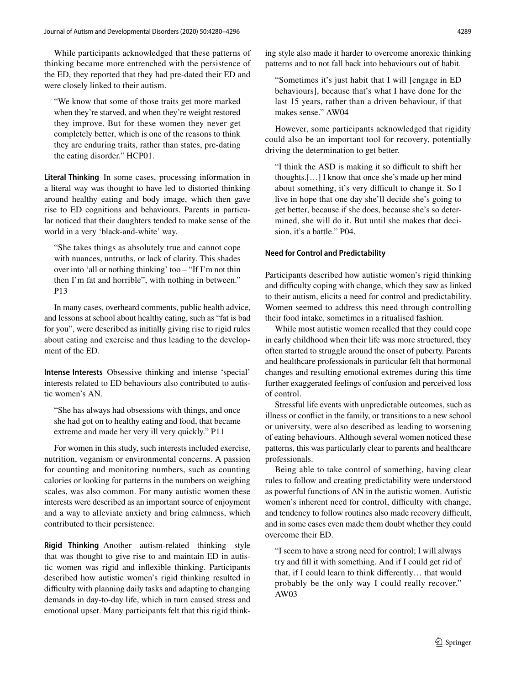While participants acknowledged that these patterns of thinking became more entrenched with the persistence of the ED, they reported that they had pre-dated their ED and were closely linked to their autism.

"We know that some of those traits get more marked when they're starved, and when they're weight restored they improve. But for these women they never get completely better, which is one of the reasons to think they are enduring traits, rather than states, pre-dating the eating disorder." HCP01.

**Literal Thinking** In some cases, processing information in a literal way was thought to have led to distorted thinking around healthy eating and body image, which then gave rise to ED cognitions and behaviours. Parents in particular noticed that their daughters tended to make sense of the world in a very 'black-and-white' way.

"She takes things as absolutely true and cannot cope with nuances, untruths, or lack of clarity. This shades over into 'all or nothing thinking' too – "If I'm not thin then I'm fat and horrible", with nothing in between." P13

In many cases, overheard comments, public health advice, and lessons at school about healthy eating, such as "fat is bad for you", were described as initially giving rise to rigid rules about eating and exercise and thus leading to the development of the ED.

**Intense Interests** Obsessive thinking and intense 'special' interests related to ED behaviours also contributed to autistic women's AN.

"She has always had obsessions with things, and once she had got on to healthy eating and food, that became extreme and made her very ill very quickly." P11

For women in this study, such interests included exercise, nutrition, veganism or environmental concerns. A passion for counting and monitoring numbers, such as counting calories or looking for patterns in the numbers on weighing scales, was also common. For many autistic women these interests were described as an important source of enjoyment and a way to alleviate anxiety and bring calmness, which contributed to their persistence.

**Rigid Thinking** Another autism-related thinking style that was thought to give rise to and maintain ED in autistic women was rigid and infexible thinking. Participants described how autistic women's rigid thinking resulted in difculty with planning daily tasks and adapting to changing demands in day-to-day life, which in turn caused stress and emotional upset. Many participants felt that this rigid thinking style also made it harder to overcome anorexic thinking patterns and to not fall back into behaviours out of habit.

"Sometimes it's just habit that I will [engage in ED behaviours], because that's what I have done for the last 15 years, rather than a driven behaviour, if that makes sense." AW04

However, some participants acknowledged that rigidity could also be an important tool for recovery, potentially driving the determination to get better.

"I think the ASD is making it so difficult to shift her thoughts.[…] I know that once she's made up her mind about something, it's very difficult to change it. So I live in hope that one day she'll decide she's going to get better, because if she does, because she's so determined, she will do it. But until she makes that decision, it's a battle." P04.

# **Need for Control and Predictability**

Participants described how autistic women's rigid thinking and difficulty coping with change, which they saw as linked to their autism, elicits a need for control and predictability. Women seemed to address this need through controlling their food intake, sometimes in a ritualised fashion.

While most autistic women recalled that they could cope in early childhood when their life was more structured, they often started to struggle around the onset of puberty. Parents and healthcare professionals in particular felt that hormonal changes and resulting emotional extremes during this time further exaggerated feelings of confusion and perceived loss of control.

Stressful life events with unpredictable outcomes, such as illness or confict in the family, or transitions to a new school or university, were also described as leading to worsening of eating behaviours. Although several women noticed these patterns, this was particularly clear to parents and healthcare professionals.

Being able to take control of something, having clear rules to follow and creating predictability were understood as powerful functions of AN in the autistic women. Autistic women's inherent need for control, difficulty with change, and tendency to follow routines also made recovery difficult, and in some cases even made them doubt whether they could overcome their ED.

"I seem to have a strong need for control; I will always try and fll it with something. And if I could get rid of that, if I could learn to think diferently… that would probably be the only way I could really recover." AW03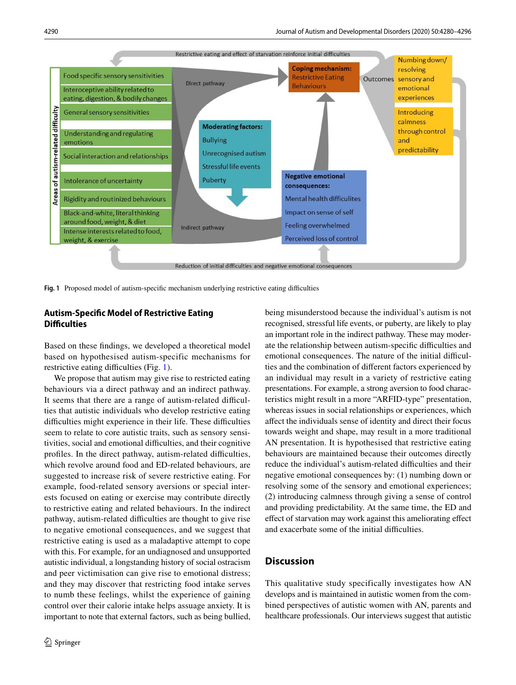

<span id="page-10-0"></span>Fig. 1 Proposed model of autism-specific mechanism underlying restrictive eating difficulties

# **Autism‑Specifc Model of Restrictive Eating Difficulties**

Based on these fndings, we developed a theoretical model based on hypothesised autism-specific mechanisms for restrictive eating difficulties (Fig. [1\)](#page-10-0).

We propose that autism may give rise to restricted eating behaviours via a direct pathway and an indirect pathway. It seems that there are a range of autism-related difficulties that autistic individuals who develop restrictive eating difficulties might experience in their life. These difficulties seem to relate to core autistic traits, such as sensory sensitivities, social and emotional difficulties, and their cognitive profiles. In the direct pathway, autism-related difficulties, which revolve around food and ED-related behaviours, are suggested to increase risk of severe restrictive eating. For example, food-related sensory aversions or special interests focused on eating or exercise may contribute directly to restrictive eating and related behaviours. In the indirect pathway, autism-related difficulties are thought to give rise to negative emotional consequences, and we suggest that restrictive eating is used as a maladaptive attempt to cope with this. For example, for an undiagnosed and unsupported autistic individual, a longstanding history of social ostracism and peer victimisation can give rise to emotional distress; and they may discover that restricting food intake serves to numb these feelings, whilst the experience of gaining control over their calorie intake helps assuage anxiety. It is important to note that external factors, such as being bullied, being misunderstood because the individual's autism is not recognised, stressful life events, or puberty, are likely to play an important role in the indirect pathway. These may moderate the relationship between autism-specific difficulties and emotional consequences. The nature of the initial difficulties and the combination of diferent factors experienced by an individual may result in a variety of restrictive eating presentations. For example, a strong aversion to food characteristics might result in a more "ARFID-type" presentation, whereas issues in social relationships or experiences, which afect the individuals sense of identity and direct their focus towards weight and shape, may result in a more traditional AN presentation. It is hypothesised that restrictive eating behaviours are maintained because their outcomes directly reduce the individual's autism-related difficulties and their negative emotional consequences by: (1) numbing down or resolving some of the sensory and emotional experiences; (2) introducing calmness through giving a sense of control and providing predictability. At the same time, the ED and efect of starvation may work against this ameliorating efect and exacerbate some of the initial difficulties.

# **Discussion**

This qualitative study specifically investigates how AN develops and is maintained in autistic women from the combined perspectives of autistic women with AN, parents and healthcare professionals. Our interviews suggest that autistic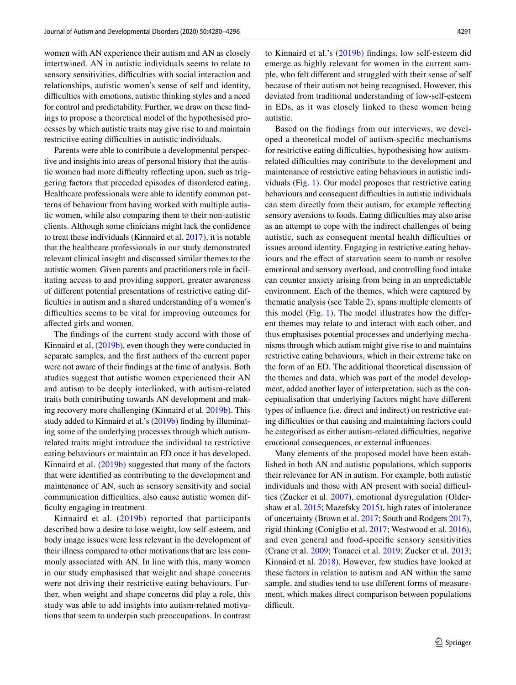women with AN experience their autism and AN as closely intertwined. AN in autistic individuals seems to relate to sensory sensitivities, difficulties with social interaction and relationships, autistic women's sense of self and identity, difficulties with emotions, autistic thinking styles and a need for control and predictability. Further, we draw on these fndings to propose a theoretical model of the hypothesised processes by which autistic traits may give rise to and maintain restrictive eating difficulties in autistic individuals.

Parents were able to contribute a developmental perspective and insights into areas of personal history that the autistic women had more difficulty reflecting upon, such as triggering factors that preceded episodes of disordered eating. Healthcare professionals were able to identify common patterns of behaviour from having worked with multiple autistic women, while also comparing them to their non-autistic clients. Although some clinicians might lack the confdence to treat these individuals (Kinnaird et al. [2017](#page-14-4)), it is notable that the healthcare professionals in our study demonstrated relevant clinical insight and discussed similar themes to the autistic women. Given parents and practitioners role in facilitating access to and providing support, greater awareness of diferent potential presentations of restrictive eating diffculties in autism and a shared understanding of a women's difficulties seems to be vital for improving outcomes for afected girls and women.

The fndings of the current study accord with those of Kinnaird et al. [\(2019b](#page-14-5)), even though they were conducted in separate samples, and the frst authors of the current paper were not aware of their fndings at the time of analysis. Both studies suggest that autistic women experienced their AN and autism to be deeply interlinked, with autism-related traits both contributing towards AN development and making recovery more challenging (Kinnaird et al. [2019b](#page-14-5)). This study added to Kinnaird et al.'s ([2019b\)](#page-14-5) fnding by illuminating some of the underlying processes through which autismrelated traits might introduce the individual to restrictive eating behaviours or maintain an ED once it has developed. Kinnaird et al. ([2019b](#page-14-5)) suggested that many of the factors that were identifed as contributing to the development and maintenance of AN, such as sensory sensitivity and social communication difficulties, also cause autistic women diffculty engaging in treatment.

Kinnaird et al. [\(2019b\)](#page-14-5) reported that participants described how a desire to lose weight, low self-esteem, and body image issues were less relevant in the development of their illness compared to other motivations that are less commonly associated with AN. In line with this, many women in our study emphasised that weight and shape concerns were not driving their restrictive eating behaviours. Further, when weight and shape concerns did play a role, this study was able to add insights into autism-related motivations that seem to underpin such preoccupations. In contrast to Kinnaird et al.'s ([2019b\)](#page-14-5) fndings, low self-esteem did emerge as highly relevant for women in the current sample, who felt diferent and struggled with their sense of self because of their autism not being recognised. However, this deviated from traditional understanding of low-self-esteem in EDs, as it was closely linked to these women being autistic.

Based on the fndings from our interviews, we developed a theoretical model of autism-specifc mechanisms for restrictive eating difficulties, hypothesising how autismrelated difficulties may contribute to the development and maintenance of restrictive eating behaviours in autistic individuals (Fig. [1](#page-10-0)). Our model proposes that restrictive eating behaviours and consequent difficulties in autistic individuals can stem directly from their autism, for example refecting sensory aversions to foods. Eating difficulties may also arise as an attempt to cope with the indirect challenges of being autistic, such as consequent mental health difficulties or issues around identity. Engaging in restrictive eating behaviours and the effect of starvation seem to numb or resolve emotional and sensory overload, and controlling food intake can counter anxiety arising from being in an unpredictable environment. Each of the themes, which were captured by thematic analysis (see Table [2\)](#page-5-0), spans multiple elements of this model (Fig. [1](#page-10-0)). The model illustrates how the diferent themes may relate to and interact with each other, and thus emphasises potential processes and underlying mechanisms through which autism might give rise to and maintains restrictive eating behaviours, which in their extreme take on the form of an ED. The additional theoretical discussion of the themes and data, which was part of the model development, added another layer of interpretation, such as the conceptualisation that underlying factors might have diferent types of infuence (i.e. direct and indirect) on restrictive eating difficulties or that causing and maintaining factors could be categorised as either autism-related difficulties, negative emotional consequences, or external infuences.

Many elements of the proposed model have been established in both AN and autistic populations, which supports their relevance for AN in autism. For example, both autistic individuals and those with AN present with social difficulties (Zucker et al. [2007](#page-16-4)), emotional dysregulation (Oldershaw et al. [2015;](#page-15-16) Mazefsky [2015](#page-15-17)), high rates of intolerance of uncertainty (Brown et al. [2017;](#page-14-19) South and Rodgers [2017](#page-15-18)), rigid thinking (Coniglio et al. [2017;](#page-14-20) Westwood et al. [2016](#page-16-6)), and even general and food-specifc sensory sensitivities (Crane et al. [2009](#page-14-21); Tonacci et al. [2019](#page-15-19); Zucker et al. [2013](#page-16-7); Kinnaird et al. [2018\)](#page-14-22). However, few studies have looked at these factors in relation to autism and AN within the same sample, and studies tend to use diferent forms of measurement, which makes direct comparison between populations difficult.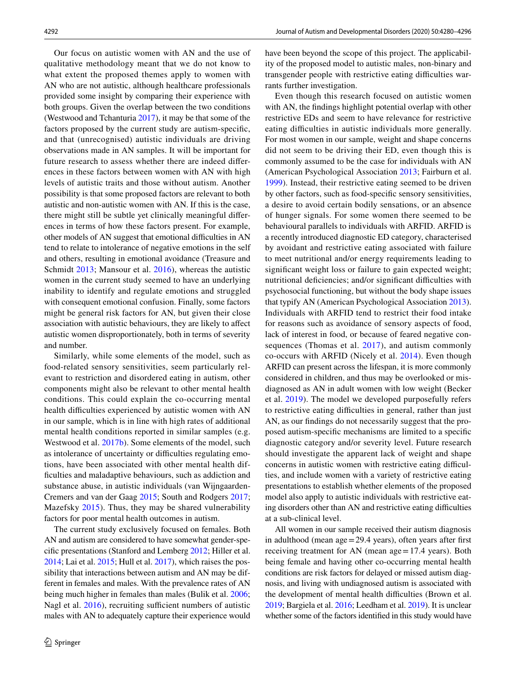Our focus on autistic women with AN and the use of qualitative methodology meant that we do not know to what extent the proposed themes apply to women with AN who are not autistic, although healthcare professionals provided some insight by comparing their experience with both groups. Given the overlap between the two conditions (Westwood and Tchanturia [2017\)](#page-16-2), it may be that some of the factors proposed by the current study are autism-specifc, and that (unrecognised) autistic individuals are driving observations made in AN samples. It will be important for future research to assess whether there are indeed diferences in these factors between women with AN with high levels of autistic traits and those without autism. Another possibility is that some proposed factors are relevant to both autistic and non-autistic women with AN. If this is the case, there might still be subtle yet clinically meaningful diferences in terms of how these factors present. For example, other models of AN suggest that emotional difficulties in AN tend to relate to intolerance of negative emotions in the self and others, resulting in emotional avoidance (Treasure and Schmidt [2013;](#page-15-20) Mansour et al. [2016](#page-15-21)), whereas the autistic women in the current study seemed to have an underlying inability to identify and regulate emotions and struggled with consequent emotional confusion. Finally, some factors might be general risk factors for AN, but given their close association with autistic behaviours, they are likely to afect autistic women disproportionately, both in terms of severity and number.

Similarly, while some elements of the model, such as food-related sensory sensitivities, seem particularly relevant to restriction and disordered eating in autism, other components might also be relevant to other mental health conditions. This could explain the co-occurring mental health difficulties experienced by autistic women with AN in our sample, which is in line with high rates of additional mental health conditions reported in similar samples (e.g. Westwood et al. [2017b\)](#page-16-3). Some elements of the model, such as intolerance of uncertainty or difficulties regulating emotions, have been associated with other mental health diffculties and maladaptive behaviours, such as addiction and substance abuse, in autistic individuals (van Wijngaarden-Cremers and van der Gaag [2015](#page-16-8); South and Rodgers [2017](#page-15-18); Mazefsky [2015](#page-15-17)). Thus, they may be shared vulnerability factors for poor mental health outcomes in autism.

The current study exclusively focused on females. Both AN and autism are considered to have somewhat gender-specifc presentations (Stanford and Lemberg [2012;](#page-15-22) Hiller et al. [2014;](#page-14-23) Lai et al. [2015](#page-15-23); Hull et al. [2017](#page-14-24)), which raises the possibility that interactions between autism and AN may be different in females and males. With the prevalence rates of AN being much higher in females than males (Bulik et al. [2006](#page-14-25); Nagl et al.  $2016$ ), recruiting sufficient numbers of autistic males with AN to adequately capture their experience would have been beyond the scope of this project. The applicability of the proposed model to autistic males, non-binary and transgender people with restrictive eating difficulties warrants further investigation.

Even though this research focused on autistic women with AN, the fndings highlight potential overlap with other restrictive EDs and seem to have relevance for restrictive eating difficulties in autistic individuals more generally. For most women in our sample, weight and shape concerns did not seem to be driving their ED, even though this is commonly assumed to be the case for individuals with AN (American Psychological Association [2013;](#page-14-1) Fairburn et al. [1999](#page-14-26)). Instead, their restrictive eating seemed to be driven by other factors, such as food-specifc sensory sensitivities, a desire to avoid certain bodily sensations, or an absence of hunger signals. For some women there seemed to be behavioural parallels to individuals with ARFID. ARFID is a recently introduced diagnostic ED category, characterised by avoidant and restrictive eating associated with failure to meet nutritional and/or energy requirements leading to signifcant weight loss or failure to gain expected weight; nutritional deficiencies; and/or significant difficulties with psychosocial functioning, but without the body shape issues that typify AN (American Psychological Association [2013](#page-14-1)). Individuals with ARFID tend to restrict their food intake for reasons such as avoidance of sensory aspects of food, lack of interest in food, or because of feared negative consequences (Thomas et al. [2017\)](#page-15-25), and autism commonly co-occurs with ARFID (Nicely et al. [2014\)](#page-15-26). Even though ARFID can present across the lifespan, it is more commonly considered in children, and thus may be overlooked or misdiagnosed as AN in adult women with low weight (Becker et al. [2019](#page-14-27)). The model we developed purposefully refers to restrictive eating difficulties in general, rather than just AN, as our fndings do not necessarily suggest that the proposed autism-specifc mechanisms are limited to a specifc diagnostic category and/or severity level. Future research should investigate the apparent lack of weight and shape concerns in autistic women with restrictive eating difficulties, and include women with a variety of restrictive eating presentations to establish whether elements of the proposed model also apply to autistic individuals with restrictive eating disorders other than AN and restrictive eating difficulties at a sub-clinical level.

All women in our sample received their autism diagnosis in adulthood (mean age=29.4 years), often years after frst receiving treatment for AN (mean age=17.4 years). Both being female and having other co-occurring mental health conditions are risk factors for delayed or missed autism diagnosis, and living with undiagnosed autism is associated with the development of mental health difficulties (Brown et al. [2019;](#page-14-28) Bargiela et al. [2016](#page-14-29); Leedham et al. [2019\)](#page-15-27). It is unclear whether some of the factors identifed in this study would have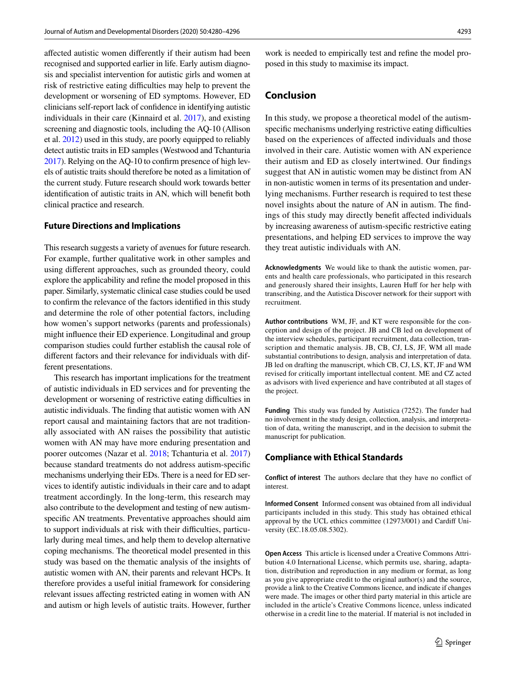afected autistic women diferently if their autism had been recognised and supported earlier in life. Early autism diagnosis and specialist intervention for autistic girls and women at risk of restrictive eating difficulties may help to prevent the development or worsening of ED symptoms. However, ED clinicians self-report lack of confdence in identifying autistic individuals in their care (Kinnaird et al. [2017](#page-14-4)), and existing screening and diagnostic tools, including the AQ-10 (Allison et al. [2012\)](#page-14-15) used in this study, are poorly equipped to reliably detect autistic traits in ED samples (Westwood and Tchanturia [2017\)](#page-16-2). Relying on the AQ-10 to confrm presence of high levels of autistic traits should therefore be noted as a limitation of the current study. Future research should work towards better identifcation of autistic traits in AN, which will beneft both clinical practice and research.

# **Future Directions and Implications**

This research suggests a variety of avenues for future research. For example, further qualitative work in other samples and using diferent approaches, such as grounded theory, could explore the applicability and refne the model proposed in this paper. Similarly, systematic clinical case studies could be used to confrm the relevance of the factors identifed in this study and determine the role of other potential factors, including how women's support networks (parents and professionals) might infuence their ED experience. Longitudinal and group comparison studies could further establish the causal role of diferent factors and their relevance for individuals with different presentations.

This research has important implications for the treatment of autistic individuals in ED services and for preventing the development or worsening of restrictive eating difficulties in autistic individuals. The fnding that autistic women with AN report causal and maintaining factors that are not traditionally associated with AN raises the possibility that autistic women with AN may have more enduring presentation and poorer outcomes (Nazar et al. [2018;](#page-15-6) Tchanturia et al. [2017\)](#page-15-7) because standard treatments do not address autism-specifc mechanisms underlying their EDs. There is a need for ED services to identify autistic individuals in their care and to adapt treatment accordingly. In the long-term, this research may also contribute to the development and testing of new autismspecifc AN treatments. Preventative approaches should aim to support individuals at risk with their difficulties, particularly during meal times, and help them to develop alternative coping mechanisms. The theoretical model presented in this study was based on the thematic analysis of the insights of autistic women with AN, their parents and relevant HCPs. It therefore provides a useful initial framework for considering relevant issues afecting restricted eating in women with AN and autism or high levels of autistic traits. However, further

work is needed to empirically test and refne the model proposed in this study to maximise its impact.

# **Conclusion**

In this study, we propose a theoretical model of the autismspecific mechanisms underlying restrictive eating difficulties based on the experiences of afected individuals and those involved in their care. Autistic women with AN experience their autism and ED as closely intertwined. Our fndings suggest that AN in autistic women may be distinct from AN in non-autistic women in terms of its presentation and underlying mechanisms. Further research is required to test these novel insights about the nature of AN in autism. The fndings of this study may directly beneft afected individuals by increasing awareness of autism-specifc restrictive eating presentations, and helping ED services to improve the way they treat autistic individuals with AN.

**Acknowledgments** We would like to thank the autistic women, parents and health care professionals, who participated in this research and generously shared their insights, Lauren Huff for her help with transcribing, and the Autistica Discover network for their support with recruitment.

**Author contributions** WM, JF, and KT were responsible for the conception and design of the project. JB and CB led on development of the interview schedules, participant recruitment, data collection, transcription and thematic analysis. JB, CB, CJ, LS, JF, WM all made substantial contributions to design, analysis and interpretation of data. JB led on drafting the manuscript, which CB, CJ, LS, KT, JF and WM revised for critically important intellectual content. ME and CZ acted as advisors with lived experience and have contributed at all stages of the project.

**Funding** This study was funded by Autistica (7252). The funder had no involvement in the study design, collection, analysis, and interpretation of data, writing the manuscript, and in the decision to submit the manuscript for publication.

# **Compliance with Ethical Standards**

**Conflict of interest** The authors declare that they have no confict of interest.

**Informed Consent** Informed consent was obtained from all individual participants included in this study. This study has obtained ethical approval by the UCL ethics committee (12973/001) and Cardif University (EC.18.05.08.5302).

**Open Access** This article is licensed under a Creative Commons Attribution 4.0 International License, which permits use, sharing, adaptation, distribution and reproduction in any medium or format, as long as you give appropriate credit to the original author(s) and the source, provide a link to the Creative Commons licence, and indicate if changes were made. The images or other third party material in this article are included in the article's Creative Commons licence, unless indicated otherwise in a credit line to the material. If material is not included in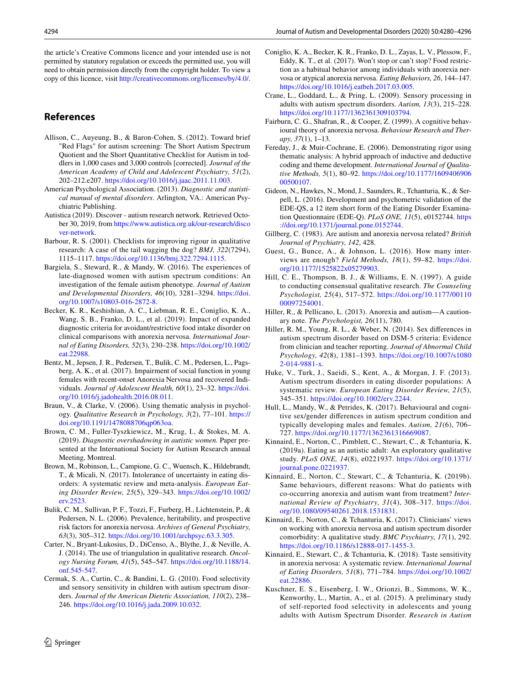the article's Creative Commons licence and your intended use is not permitted by statutory regulation or exceeds the permitted use, you will need to obtain permission directly from the copyright holder. To view a copy of this licence, visit <http://creativecommons.org/licenses/by/4.0/>.

# **References**

- <span id="page-14-15"></span>Allison, C., Auyeung, B., & Baron-Cohen, S. (2012). Toward brief "Red Flags" for autism screening: The Short Autism Spectrum Quotient and the Short Quantitative Checklist for Autism in toddlers in 1,000 cases and 3,000 controls [corrected]. *Journal of the American Academy of Child and Adolescent Psychiatry, 51*(2), 202–212.e207. [https://doi.org/10.1016/j.jaac.2011.11.003.](https://doi.org/10.1016/j.jaac.2011.11.003)
- <span id="page-14-1"></span>American Psychological Association. (2013). *Diagnostic and statistical manual of mental disorders*. Arlington, VA.: American Psychiatric Publishing.
- <span id="page-14-13"></span>Autistica (2019). Discover - autism research network. Retrieved October 30, 2019, from [https://www.autistica.org.uk/our-research/disco](https://www.autistica.org.uk/our-research/discover-network) [ver-network](https://www.autistica.org.uk/our-research/discover-network).
- <span id="page-14-18"></span>Barbour, R. S. (2001). Checklists for improving rigour in qualitative research: A case of the tail wagging the dog? *BMJ, 322*(7294), 1115–1117. <https://doi.org/10.1136/bmj.322.7294.1115>.
- <span id="page-14-29"></span>Bargiela, S., Steward, R., & Mandy, W. (2016). The experiences of late-diagnosed women with autism spectrum conditions: An investigation of the female autism phenotype. *Journal of Autism and Developmental Disorders, 46*(10), 3281–3294. [https://doi.](https://doi.org/10.1007/s10803-016-2872-8) [org/10.1007/s10803-016-2872-8.](https://doi.org/10.1007/s10803-016-2872-8)
- <span id="page-14-27"></span>Becker, K. R., Keshishian, A. C., Liebman, R. E., Coniglio, K. A., Wang, S. B., Franko, D. L., et al. (2019). Impact of expanded diagnostic criteria for avoidant/restrictive food intake disorder on clinical comparisons with anorexia nervosa. *International Journal of Eating Disorders, 52*(3), 230–238. [https://doi.org/10.1002/](https://doi.org/10.1002/eat.22988) [eat.22988.](https://doi.org/10.1002/eat.22988)
- <span id="page-14-3"></span>Bentz, M., Jepsen, J. R., Pedersen, T., Bulik, C. M., Pedersen, L., Pagsberg, A. K., et al. (2017). Impairment of social function in young females with recent-onset Anorexia Nervosa and recovered Individuals. *Journal of Adolescent Health, 60*(1), 23–32. [https://doi.](https://doi.org/10.1016/j.jadohealth.2016.08.011) [org/10.1016/j.jadohealth.2016.08.011.](https://doi.org/10.1016/j.jadohealth.2016.08.011)
- <span id="page-14-11"></span>Braun, V., & Clarke, V. (2006). Using thematic analysis in psychology. *Qualitative Research in Psychology, 3*(2), 77–101. [https://](https://doi.org/10.1191/1478088706qp063oa) [doi.org/10.1191/1478088706qp063oa.](https://doi.org/10.1191/1478088706qp063oa)
- <span id="page-14-28"></span>Brown, C. M., Fuller-Tyszkiewicz, M., Krug, I., & Stokes, M. A. (2019). *Diagnostic overshadowing in autistic women.* Paper presented at the International Society for Autism Research annual Meeting, Montreal.
- <span id="page-14-19"></span>Brown, M., Robinson, L., Campione, G. C., Wuensch, K., Hildebrandt, T., & Micali, N. (2017). Intolerance of uncertainty in eating disorders: A systematic review and meta-analysis. *European Eating Disorder Review, 25*(5), 329–343. [https://doi.org/10.1002/](https://doi.org/10.1002/erv.2523) [erv.2523.](https://doi.org/10.1002/erv.2523)
- <span id="page-14-25"></span>Bulik, C. M., Sullivan, P. F., Tozzi, F., Furberg, H., Lichtenstein, P., & Pedersen, N. L. (2006). Prevalence, heritability, and prospective risk factors for anorexia nervosa. *Archives of General Psychiatry, 63*(3), 305–312. [https://doi.org/10.1001/archpsyc.63.3.305.](https://doi.org/10.1001/archpsyc.63.3.305)
- <span id="page-14-10"></span>Carter, N., Bryant-Lukosius, D., DiCenso, A., Blythe, J., & Neville, A. J. (2014). The use of triangulation in qualitative research. *Oncology Nursing Forum, 41*(5), 545–547. [https://doi.org/10.1188/14.](https://doi.org/10.1188/14.onf.545-547) [onf.545-547](https://doi.org/10.1188/14.onf.545-547).
- <span id="page-14-8"></span>Cermak, S. A., Curtin, C., & Bandini, L. G. (2010). Food selectivity and sensory sensitivity in children with autism spectrum disorders. *Journal of the American Dietetic Association, 110*(2), 238– 246.<https://doi.org/10.1016/j.jada.2009.10.032>.
- <span id="page-14-20"></span>Coniglio, K. A., Becker, K. R., Franko, D. L., Zayas, L. V., Plessow, F., Eddy, K. T., et al. (2017). Won't stop or can't stop? Food restriction as a habitual behavior among individuals with anorexia nervosa or atypical anorexia nervosa. *Eating Behaviors, 26*, 144–147. <https://doi.org/10.1016/j.eatbeh.2017.03.005>.
- <span id="page-14-21"></span>Crane, L., Goddard, L., & Pring, L. (2009). Sensory processing in adults with autism spectrum disorders. *Autism, 13*(3), 215–228. <https://doi.org/10.1177/1362361309103794>.
- <span id="page-14-26"></span>Fairburn, C. G., Shafran, R., & Cooper, Z. (1999). A cognitive behavioural theory of anorexia nervosa. *Behaviour Research and Therapy, 37*(1), 1–13.
- <span id="page-14-12"></span>Fereday, J., & Muir-Cochrane, E. (2006). Demonstrating rigor using thematic analysis: A hybrid approach of inductive and deductive coding and theme development. *International Journal of Qualitative Methods, 5*(1), 80–92. [https://doi.org/10.1177/1609406906](https://doi.org/10.1177/160940690600500107) [00500107](https://doi.org/10.1177/160940690600500107).
- <span id="page-14-16"></span>Gideon, N., Hawkes, N., Mond, J., Saunders, R., Tchanturia, K., & Serpell, L. (2016). Development and psychometric validation of the EDE-QS, a 12 item short form of the Eating Disorder Examination Questionnaire (EDE-Q). *PLoS ONE, 11*(5), e0152744. [https](https://doi.org/10.1371/journal.pone.0152744) [://doi.org/10.1371/journal.pone.0152744](https://doi.org/10.1371/journal.pone.0152744).
- <span id="page-14-0"></span>Gillberg, C. (1983). Are autism and anorexia nervosa related? *British Journal of Psychiatry, 142*, 428.
- <span id="page-14-14"></span>Guest, G., Bunce, A., & Johnson, L. (2016). How many interviews are enough? *Field Methods, 18*(1), 59–82. [https://doi.](https://doi.org/10.1177/1525822x05279903) [org/10.1177/1525822x05279903.](https://doi.org/10.1177/1525822x05279903)
- <span id="page-14-17"></span>Hill, C. E., Thompson, B. J., & Williams, E. N. (1997). A guide to conducting consensual qualitative research. *The Counseling Psychologist, 25*(4), 517–572. [https://doi.org/10.1177/00110](https://doi.org/10.1177/0011000097254001) [00097254001.](https://doi.org/10.1177/0011000097254001)
- <span id="page-14-2"></span>Hiller, R., & Pellicano, L. (2013). Anorexia and autism—A cautionary note. *The Psychologist, 26*(11), 780.
- <span id="page-14-23"></span>Hiller, R. M., Young, R. L., & Weber, N. (2014). Sex diferences in autism spectrum disorder based on DSM-5 criteria: Evidence from clinician and teacher reporting. *Journal of Abnormal Child Psychology, 42*(8), 1381–1393. [https://doi.org/10.1007/s1080](https://doi.org/10.1007/s10802-014-9881-x) [2-014-9881-x.](https://doi.org/10.1007/s10802-014-9881-x)
- <span id="page-14-6"></span>Huke, V., Turk, J., Saeidi, S., Kent, A., & Morgan, J. F. (2013). Autism spectrum disorders in eating disorder populations: A systematic review. *European Eating Disorder Review, 21*(5), 345–351.<https://doi.org/10.1002/erv.2244>.
- <span id="page-14-24"></span>Hull, L., Mandy, W., & Petrides, K. (2017). Behavioural and cognitive sex/gender diferences in autism spectrum condition and typically developing males and females. *Autism, 21*(6), 706– 727. <https://doi.org/10.1177/1362361316669087>.
- <span id="page-14-9"></span>Kinnaird, E., Norton, C., Pimblett, C., Stewart, C., & Tchanturia, K. (2019a). Eating as an autistic adult: An exploratory qualitative study. *PLoS ONE, 14*(8), e0221937. [https://doi.org/10.1371/](https://doi.org/10.1371/journal.pone.0221937) [journal.pone.0221937](https://doi.org/10.1371/journal.pone.0221937).
- <span id="page-14-5"></span>Kinnaird, E., Norton, C., Stewart, C., & Tchanturia, K. (2019b). Same behaviours, diferent reasons: What do patients with co-occurring anorexia and autism want from treatment? *International Review of Psychiatry, 31*(4), 308–317. [https://doi.](https://doi.org/10.1080/09540261.2018.1531831) [org/10.1080/09540261.2018.1531831](https://doi.org/10.1080/09540261.2018.1531831).
- <span id="page-14-4"></span>Kinnaird, E., Norton, C., & Tchanturia, K. (2017). Clinicians' views on working with anorexia nervosa and autism spectrum disorder comorbidity: A qualitative study. *BMC Psychiatry, 17*(1), 292. [https://doi.org/10.1186/s12888-017-1455-3.](https://doi.org/10.1186/s12888-017-1455-3)
- <span id="page-14-22"></span>Kinnaird, E., Stewart, C., & Tchanturia, K. (2018). Taste sensitivity in anorexia nervosa: A systematic review. *International Journal of Eating Disorders, 51*(8), 771–784. [https://doi.org/10.1002/](https://doi.org/10.1002/eat.22886) [eat.22886.](https://doi.org/10.1002/eat.22886)
- <span id="page-14-7"></span>Kuschner, E. S., Eisenberg, I. W., Orionzi, B., Simmons, W. K., Kenworthy, L., Martin, A., et al. (2015). A preliminary study of self-reported food selectivity in adolescents and young adults with Autism Spectrum Disorder. *Research in Autism*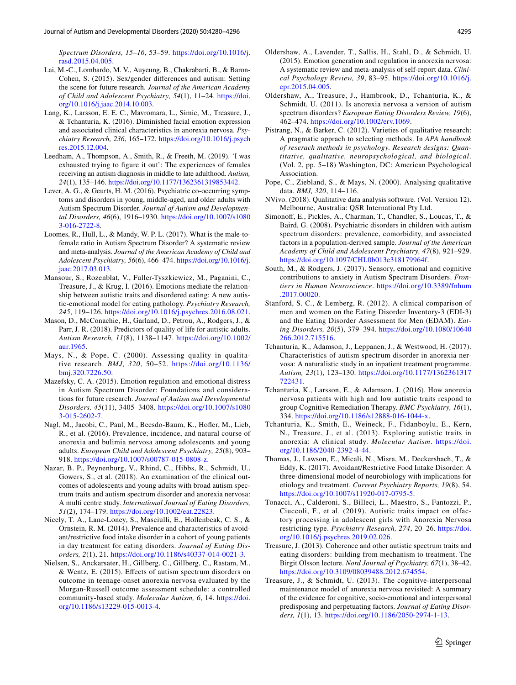- <span id="page-15-23"></span>Lai, M.-C., Lombardo, M. V., Auyeung, B., Chakrabarti, B., & Baron-Cohen, S. (2015). Sex/gender diferences and autism: Setting the scene for future research. *Journal of the American Academy of Child and Adolescent Psychiatry, 54*(1), 11–24. [https://doi.](https://doi.org/10.1016/j.jaac.2014.10.003) [org/10.1016/j.jaac.2014.10.003.](https://doi.org/10.1016/j.jaac.2014.10.003)
- <span id="page-15-9"></span>Lang, K., Larsson, E. E. C., Mavromara, L., Simic, M., Treasure, J., & Tchanturia, K. (2016). Diminished facial emotion expression and associated clinical characteristics in anorexia nervosa. *Psychiatry Research, 236*, 165–172. [https://doi.org/10.1016/j.psych](https://doi.org/10.1016/j.psychres.2015.12.004) [res.2015.12.004](https://doi.org/10.1016/j.psychres.2015.12.004).
- <span id="page-15-27"></span>Leedham, A., Thompson, A., Smith, R., & Freeth, M. (2019). 'I was exhausted trying to fgure it out': The experiences of females receiving an autism diagnosis in middle to late adulthood. *Autism, 24*(1), 135–146.<https://doi.org/10.1177/1362361319853442>.
- <span id="page-15-2"></span>Lever, A. G., & Geurts, H. M. (2016). Psychiatric co-occurring symptoms and disorders in young, middle-aged, and older adults with Autism Spectrum Disorder. *Journal of Autism and Developmental Disorders, 46*(6), 1916–1930. [https://doi.org/10.1007/s1080](https://doi.org/10.1007/s10803-016-2722-8) [3-016-2722-8](https://doi.org/10.1007/s10803-016-2722-8).
- <span id="page-15-4"></span>Loomes, R., Hull, L., & Mandy, W. P. L. (2017). What is the male-tofemale ratio in Autism Spectrum Disorder? A systematic review and meta-analysis. *Journal of the American Academy of Child and Adolescent Psychiatry, 56*(6), 466–474. [https://doi.org/10.1016/j.](https://doi.org/10.1016/j.jaac.2017.03.013) [jaac.2017.03.013](https://doi.org/10.1016/j.jaac.2017.03.013).
- <span id="page-15-21"></span>Mansour, S., Rozenblat, V., Fuller-Tyszkiewicz, M., Paganini, C., Treasure, J., & Krug, I. (2016). Emotions mediate the relationship between autistic traits and disordered eating: A new autistic-emotional model for eating pathology. *Psychiatry Research, 245*, 119–126. <https://doi.org/10.1016/j.psychres.2016.08.021>.
- <span id="page-15-3"></span>Mason, D., McConachie, H., Garland, D., Petrou, A., Rodgers, J., & Parr, J. R. (2018). Predictors of quality of life for autistic adults. *Autism Research, 11*(8), 1138–1147. [https://doi.org/10.1002/](https://doi.org/10.1002/aur.1965) [aur.1965.](https://doi.org/10.1002/aur.1965)
- <span id="page-15-14"></span>Mays, N., & Pope, C. (2000). Assessing quality in qualitative research. *BMJ, 320*, 50–52. [https://doi.org/10.1136/](https://doi.org/10.1136/bmj.320.7226.50) [bmj.320.7226.50](https://doi.org/10.1136/bmj.320.7226.50).
- <span id="page-15-17"></span>Mazefsky, C. A. (2015). Emotion regulation and emotional distress in Autism Spectrum Disorder: Foundations and considerations for future research. *Journal of Autism and Developmental Disorders, 45*(11), 3405–3408. [https://doi.org/10.1007/s1080](https://doi.org/10.1007/s10803-015-2602-7) [3-015-2602-7.](https://doi.org/10.1007/s10803-015-2602-7)
- <span id="page-15-24"></span>Nagl, M., Jacobi, C., Paul, M., Beesdo-Baum, K., Hofer, M., Lieb, R., et al. (2016). Prevalence, incidence, and natural course of anorexia and bulimia nervosa among adolescents and young adults. *European Child and Adolescent Psychiatry, 25*(8), 903– 918. <https://doi.org/10.1007/s00787-015-0808-z>.
- <span id="page-15-6"></span>Nazar, B. P., Peynenburg, V., Rhind, C., Hibbs, R., Schmidt, U., Gowers, S., et al. (2018). An examination of the clinical outcomes of adolescents and young adults with broad autism spectrum traits and autism spectrum disorder and anorexia nervosa: A multi centre study. *International Journal of Eating Disorders, 51*(2), 174–179. [https://doi.org/10.1002/eat.22823.](https://doi.org/10.1002/eat.22823)
- <span id="page-15-26"></span>Nicely, T. A., Lane-Loney, S., Masciulli, E., Hollenbeak, C. S., & Ornstein, R. M. (2014). Prevalence and characteristics of avoidant/restrictive food intake disorder in a cohort of young patients in day treatment for eating disorders. *Journal of Eating Disorders, 2*(1), 21. [https://doi.org/10.1186/s40337-014-0021-3.](https://doi.org/10.1186/s40337-014-0021-3)
- <span id="page-15-0"></span>Nielsen, S., Anckarsater, H., Gillberg, C., Gillberg, C., Rastam, M., & Wentz, E. (2015). Efects of autism spectrum disorders on outcome in teenage-onset anorexia nervosa evaluated by the Morgan-Russell outcome assessment schedule: a controlled community-based study. *Molecular Autism, 6*, 14. [https://doi.](https://doi.org/10.1186/s13229-015-0013-4) [org/10.1186/s13229-015-0013-4](https://doi.org/10.1186/s13229-015-0013-4).
- <span id="page-15-16"></span>Oldershaw, A., Lavender, T., Sallis, H., Stahl, D., & Schmidt, U. (2015). Emotion generation and regulation in anorexia nervosa: A systematic review and meta-analysis of self-report data. *Clinical Psychology Review, 39*, 83–95. [https://doi.org/10.1016/j.](https://doi.org/10.1016/j.cpr.2015.04.005) [cpr.2015.04.005.](https://doi.org/10.1016/j.cpr.2015.04.005)
- <span id="page-15-10"></span>Oldershaw, A., Treasure, J., Hambrook, D., Tchanturia, K., & Schmidt, U. (2011). Is anorexia nervosa a version of autism spectrum disorders? *European Eating Disorders Review, 19*(6), 462–474.<https://doi.org/10.1002/erv.1069>.
- <span id="page-15-12"></span>Pistrang, N., & Barker, C. (2012). Varieties of qualitative research: A pragmatic apprach to selecting methods. In *APA handbook of reserach methods in psychology. Research designs: Quantitative, qualitative, neuropsychological, and biological*. (Vol. 2, pp. 5–18) Washington, DC: American Psychological Association.
- <span id="page-15-15"></span>Pope, C., Ziebland, S., & Mays, N. (2000). Analysing qualitative data. *BMJ, 320*, 114–116.
- <span id="page-15-13"></span>NVivo. (2018). Qualitative data analysis software. (Vol. Version 12). Melbourne, Australia: QSR International Pty Ltd.
- <span id="page-15-1"></span>Simonof, E., Pickles, A., Charman, T., Chandler, S., Loucas, T., & Baird, G. (2008). Psychiatric disorders in children with autism spectrum disorders: prevalence, comorbidity, and associated factors in a population-derived sample. *Journal of the American Academy of Child and Adolescent Psychiatry, 47*(8), 921–929. <https://doi.org/10.1097/CHI.0b013e318179964f>.
- <span id="page-15-18"></span>South, M., & Rodgers, J. (2017). Sensory, emotional and cognitive contributions to anxiety in Autism Spectrum Disorders. *Frontiers in Human Neuroscience*. [https://doi.org/10.3389/fnhum](https://doi.org/10.3389/fnhum.2017.00020) [.2017.00020](https://doi.org/10.3389/fnhum.2017.00020).
- <span id="page-15-22"></span>Stanford, S. C., & Lemberg, R. (2012). A clinical comparison of men and women on the Eating Disorder Inventory-3 (EDI-3) and the Eating Disorder Assessment for Men (EDAM). *Eating Disorders, 20*(5), 379–394. [https://doi.org/10.1080/10640](https://doi.org/10.1080/10640266.2012.715516) [266.2012.715516](https://doi.org/10.1080/10640266.2012.715516).
- <span id="page-15-7"></span>Tchanturia, K., Adamson, J., Leppanen, J., & Westwood, H. (2017). Characteristics of autism spectrum disorder in anorexia nervosa: A naturalistic study in an inpatient treatment programme. *Autism, 23*(1), 123–130. [https://doi.org/10.1177/1362361317](https://doi.org/10.1177/1362361317722431) [722431.](https://doi.org/10.1177/1362361317722431)
- <span id="page-15-8"></span>Tchanturia, K., Larsson, E., & Adamson, J. (2016). How anorexia nervosa patients with high and low autistic traits respond to group Cognitive Remediation Therapy. *BMC Psychiatry, 16*(1), 334. [https://doi.org/10.1186/s12888-016-1044-x.](https://doi.org/10.1186/s12888-016-1044-x)
- <span id="page-15-11"></span>Tchanturia, K., Smith, E., Weineck, F., Fidanboylu, E., Kern, N., Treasure, J., et al. (2013). Exploring autistic traits in anorexia: A clinical study. *Molecular Autism*. [https://doi.](https://doi.org/10.1186/2040-2392-4-44) [org/10.1186/2040-2392-4-44](https://doi.org/10.1186/2040-2392-4-44).
- <span id="page-15-25"></span>Thomas, J., Lawson, E., Micali, N., Misra, M., Deckersbach, T., & Eddy, K. (2017). Avoidant/Restrictive Food Intake Disorder: A three-dimensional model of neurobiology with implications for etiology and treatment. *Current Psychiatry Reports, 19*(8), 54. [https://doi.org/10.1007/s11920-017-0795-5.](https://doi.org/10.1007/s11920-017-0795-5)
- <span id="page-15-19"></span>Tonacci, A., Calderoni, S., Billeci, L., Maestro, S., Fantozzi, P., Ciuccoli, F., et al. (2019). Autistic traits impact on olfactory processing in adolescent girls with Anorexia Nervosa restricting type. *Psychiatry Research, 274*, 20–26. [https://doi.](https://doi.org/10.1016/j.psychres.2019.02.026) [org/10.1016/j.psychres.2019.02.026.](https://doi.org/10.1016/j.psychres.2019.02.026)
- <span id="page-15-5"></span>Treasure, J. (2013). Coherence and other autistic spectrum traits and eating disorders: building from mechanism to treatment. The Birgit Olsson lecture. *Nord Journal of Psychiatry, 67*(1), 38–42. <https://doi.org/10.3109/08039488.2012.674554>.
- <span id="page-15-20"></span>Treasure, J., & Schmidt, U. (2013). The cognitive-interpersonal maintenance model of anorexia nervosa revisited: A summary of the evidence for cognitive, socio-emotional and interpersonal predisposing and perpetuating factors. *Journal of Eating Disorders, 1*(1), 13. [https://doi.org/10.1186/2050-2974-1-13.](https://doi.org/10.1186/2050-2974-1-13)